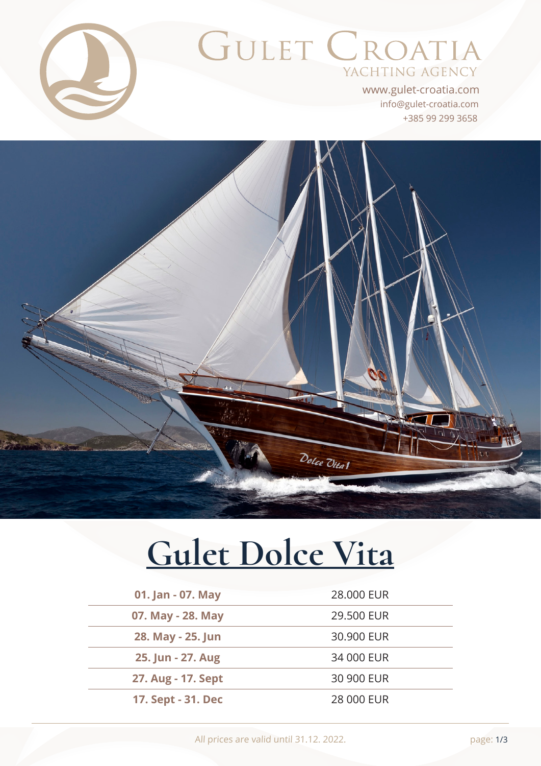

# GULET CROATIA YACHTING AGENCY

+385 99 299 3658 info@gulet-croatia.com www.gulet-croatia.com



# **[Gulet Dolce Vita](https://www.gulet-croatia.com/gulets-cruise-croatia/sy-dolce-vita)**

| 01. Jan - 07. May  | 28,000 EUR |
|--------------------|------------|
| 07. May - 28. May  | 29,500 EUR |
| 28. May - 25. Jun  | 30.900 EUR |
| 25. Jun - 27. Aug  | 34 000 EUR |
| 27. Aug - 17. Sept | 30 900 EUR |
| 17. Sept - 31. Dec | 28 000 EUR |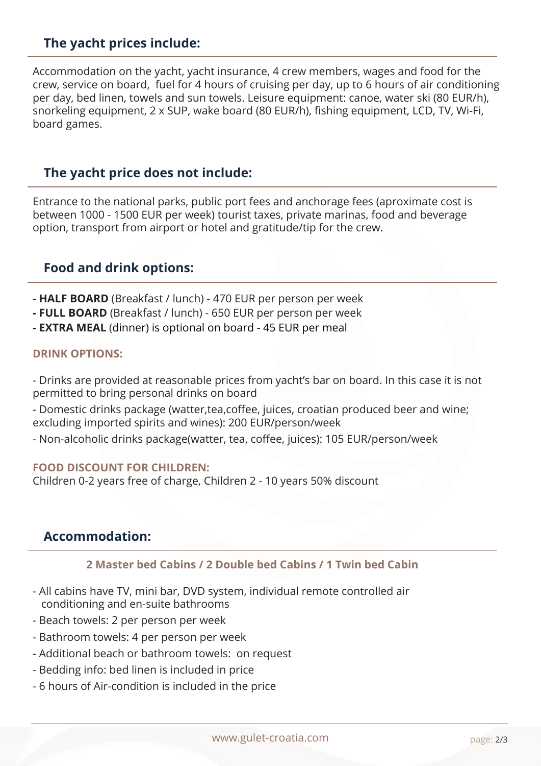# **The yacht prices include:**

Accommodation on the yacht, yacht insurance, 4 crew members, wages and food for the crew, service on board, fuel for 4 hours of cruising per day, up to 6 hours of air conditioning per day, bed linen, towels and sun towels. Leisure equipment: canoe, water ski (80 EUR/h), snorkeling equipment, 2 x SUP, wake board (80 EUR/h), fishing equipment, LCD, TV, Wi-Fi, board games.

#### **The yacht price does not include:**

Entrance to the national parks, public port fees and anchorage fees (aproximate cost is between 1000 - 1500 EUR per week) tourist taxes, private marinas, food and beverage option, transport from airport or hotel and gratitude/tip for the crew.

## **Food and drink options:**

- **HALF BOARD** (Breakfast / lunch) 470 EUR per person per week
- **FULL BOARD** (Breakfast / lunch) 650 EUR per person per week
- **EXTRA MEAL** (dinner) is optional on board 45 EUR per meal

#### **DRINK OPTIONS:**

- Drinks are provided at reasonable prices from yacht's bar on board. In this case it is not permitted to bring personal drinks on board

- Domestic drinks package (watter,tea,coffee, juices, croatian produced beer and wine; excluding imported spirits and wines): 200 EUR/person/week

- Non-alcoholic drinks package(watter, tea, coffee, juices): 105 EUR/person/week

#### **FOOD DISCOUNT FOR CHILDREN:**

Children 0-2 years free of charge, Children 2 - 10 years 50% discount

#### **Accommodation:**

#### **2 Master bed Cabins / 2 Double bed Cabins / 1 Twin bed Cabin**

- All cabins have TV, mini bar, DVD system, individual remote controlled air conditioning and en-suite bathrooms
- Beach towels: 2 per person per week
- Bathroom towels: 4 per person per week
- Additional beach or bathroom towels: on request
- Bedding info: bed linen is included in price
- 6 hours of Air-condition is included in the price